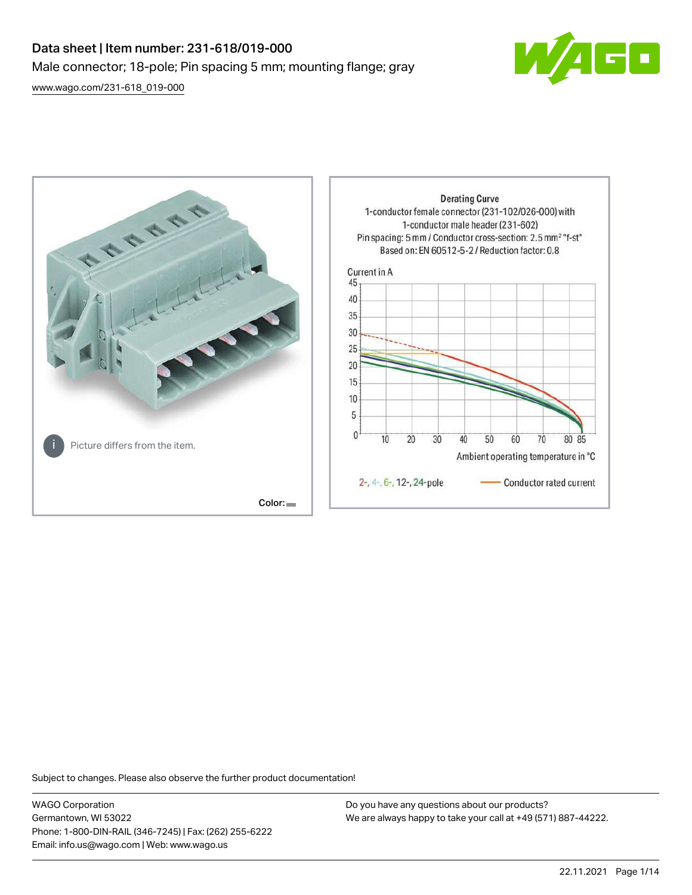# Data sheet | Item number: 231-618/019-000 Male connector; 18-pole; Pin spacing 5 mm; mounting flange; gray

[www.wago.com/231-618\\_019-000](http://www.wago.com/231-618_019-000)





Subject to changes. Please also observe the further product documentation!

WAGO Corporation Germantown, WI 53022 Phone: 1-800-DIN-RAIL (346-7245) | Fax: (262) 255-6222 Email: info.us@wago.com | Web: www.wago.us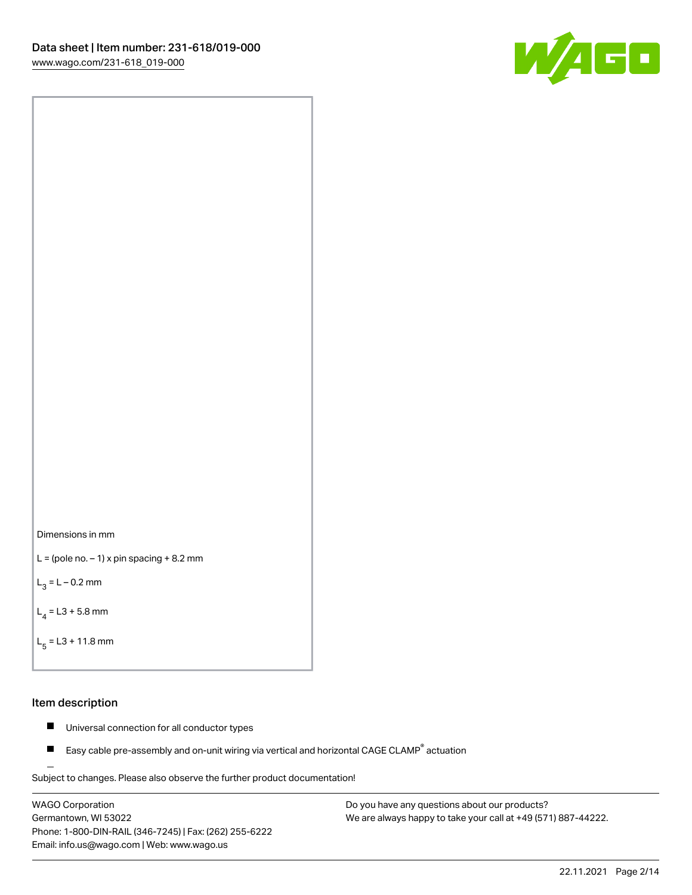



```
L = (pole no. -1) x pin spacing +8.2 mm
```
 $L_3 = L - 0.2$  mm

```
L_4 = L3 + 5.8 mm
```

```
L_{\rm g} = L3 + 11.8 mm
```
#### Item description

- $\blacksquare$ Universal connection for all conductor types
- Easy cable pre-assembly and on-unit wiring via vertical and horizontal CAGE CLAMP<sup>®</sup> actuation  $\blacksquare$

Subject to changes. Please also observe the further product documentation! For wire-to-wire and board-to-wire connections

WAGO Corporation Germantown, WI 53022 Phone: 1-800-DIN-RAIL (346-7245) | Fax: (262) 255-6222 Email: info.us@wago.com | Web: www.wago.us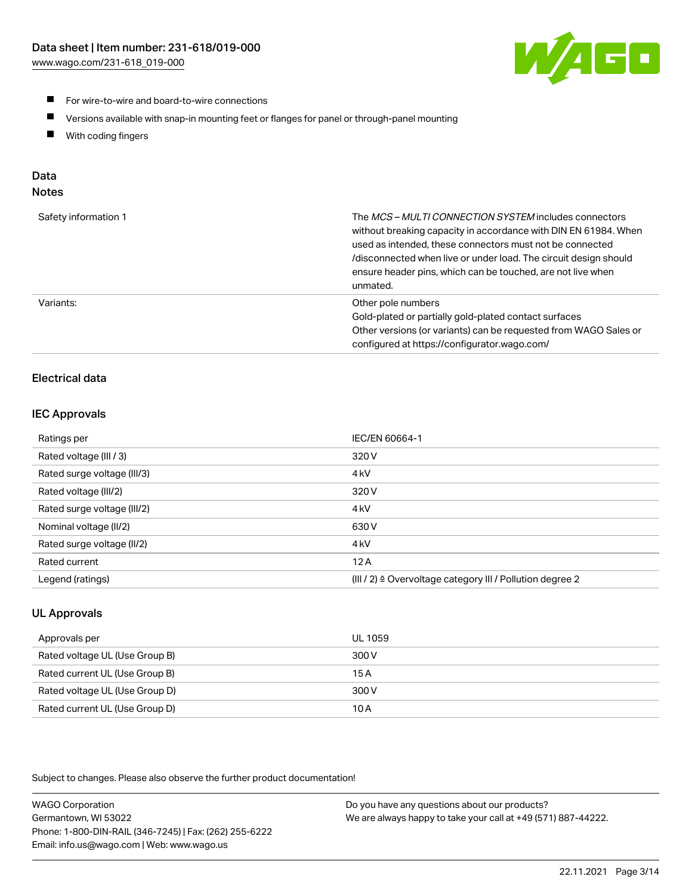

- For wire-to-wire and board-to-wire connections
- $\blacksquare$ Versions available with snap-in mounting feet or flanges for panel or through-panel mounting
- $\blacksquare$ With coding fingers

# Data

## Notes

| Safety information 1 | The MCS-MULTI CONNECTION SYSTEM includes connectors<br>without breaking capacity in accordance with DIN EN 61984. When<br>used as intended, these connectors must not be connected<br>/disconnected when live or under load. The circuit design should<br>ensure header pins, which can be touched, are not live when<br>unmated. |
|----------------------|-----------------------------------------------------------------------------------------------------------------------------------------------------------------------------------------------------------------------------------------------------------------------------------------------------------------------------------|
| Variants:            | Other pole numbers<br>Gold-plated or partially gold-plated contact surfaces<br>Other versions (or variants) can be requested from WAGO Sales or<br>configured at https://configurator.wago.com/                                                                                                                                   |

# Electrical data

## IEC Approvals

| Ratings per                 | IEC/EN 60664-1                                                        |
|-----------------------------|-----------------------------------------------------------------------|
| Rated voltage (III / 3)     | 320 V                                                                 |
| Rated surge voltage (III/3) | 4 <sub>k</sub> V                                                      |
| Rated voltage (III/2)       | 320 V                                                                 |
| Rated surge voltage (III/2) | 4 <sub>k</sub> V                                                      |
| Nominal voltage (II/2)      | 630 V                                                                 |
| Rated surge voltage (II/2)  | 4 <sub>k</sub> V                                                      |
| Rated current               | 12A                                                                   |
| Legend (ratings)            | $(III / 2)$ $\triangle$ Overvoltage category III / Pollution degree 2 |

## UL Approvals

| Approvals per                  | UL 1059 |
|--------------------------------|---------|
| Rated voltage UL (Use Group B) | 300 V   |
| Rated current UL (Use Group B) | 15 A    |
| Rated voltage UL (Use Group D) | 300 V   |
| Rated current UL (Use Group D) | 10 A    |

Subject to changes. Please also observe the further product documentation!

| <b>WAGO Corporation</b>                                | Do you have any questions about our products?                 |
|--------------------------------------------------------|---------------------------------------------------------------|
| Germantown, WI 53022                                   | We are always happy to take your call at +49 (571) 887-44222. |
| Phone: 1-800-DIN-RAIL (346-7245)   Fax: (262) 255-6222 |                                                               |
| Email: info.us@wago.com   Web: www.wago.us             |                                                               |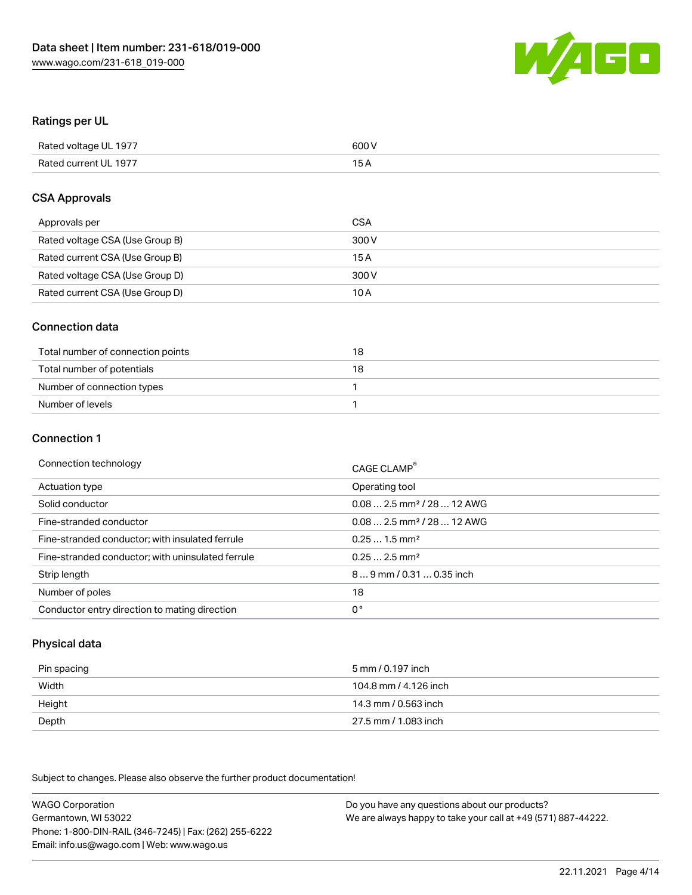

#### Ratings per UL

| Rated voltage UL 1977 | 600 V |
|-----------------------|-------|
| Rated current UL 1977 | 1 E   |

#### CSA Approvals

| Approvals per                   | CSA   |
|---------------------------------|-------|
| Rated voltage CSA (Use Group B) | 300 V |
| Rated current CSA (Use Group B) | 15 A  |
| Rated voltage CSA (Use Group D) | 300 V |
| Rated current CSA (Use Group D) | 10 A  |

#### Connection data

| Total number of connection points | 18 |
|-----------------------------------|----|
| Total number of potentials        | 18 |
| Number of connection types        |    |
| Number of levels                  |    |

#### Connection 1

| Connection technology                             | CAGE CLAMP <sup>®</sup>                |
|---------------------------------------------------|----------------------------------------|
| Actuation type                                    | Operating tool                         |
| Solid conductor                                   | $0.082.5$ mm <sup>2</sup> / 28  12 AWG |
| Fine-stranded conductor                           | $0.082.5$ mm <sup>2</sup> / 28  12 AWG |
| Fine-stranded conductor; with insulated ferrule   | $0.251.5$ mm <sup>2</sup>              |
| Fine-stranded conductor; with uninsulated ferrule | $0.252.5$ mm <sup>2</sup>              |
| Strip length                                      | 89 mm / 0.31  0.35 inch                |
| Number of poles                                   | 18                                     |
| Conductor entry direction to mating direction     | 0°                                     |

## Physical data

| Pin spacing | 5 mm / 0.197 inch     |
|-------------|-----------------------|
| Width       | 104.8 mm / 4.126 inch |
| Height      | 14.3 mm / 0.563 inch  |
| Depth       | 27.5 mm / 1.083 inch  |

Subject to changes. Please also observe the further product documentation!

WAGO Corporation Germantown, WI 53022 Phone: 1-800-DIN-RAIL (346-7245) | Fax: (262) 255-6222 Email: info.us@wago.com | Web: www.wago.us Do you have any questions about our products? We are always happy to take your call at +49 (571) 887-44222.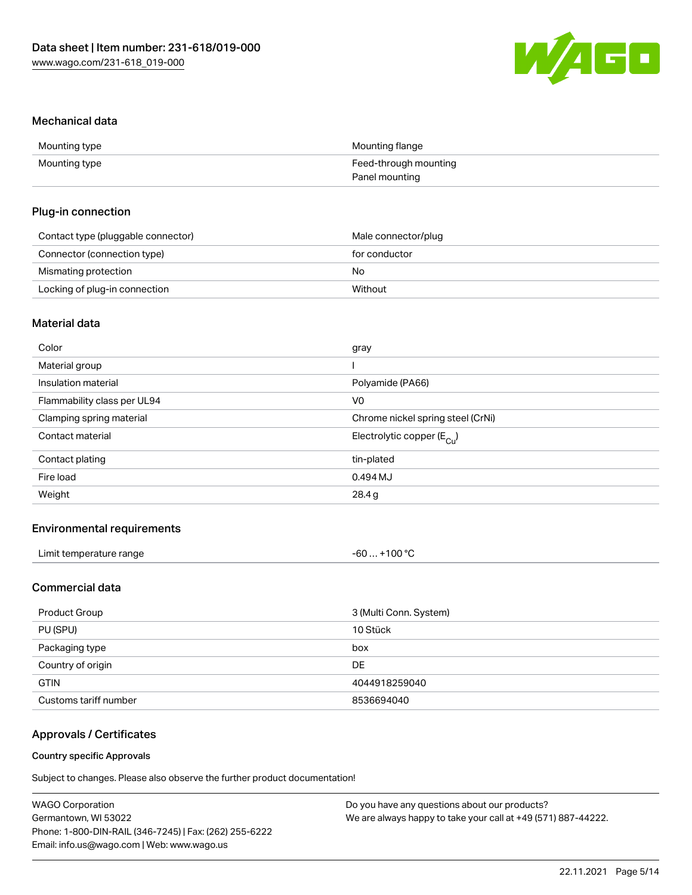

#### Mechanical data

| Mounting type | Mounting flange       |
|---------------|-----------------------|
| Mounting type | Feed-through mounting |
|               | Panel mounting        |

#### Plug-in connection

| Contact type (pluggable connector) | Male connector/plug |
|------------------------------------|---------------------|
| Connector (connection type)        | for conductor       |
| Mismating protection               | No                  |
| Locking of plug-in connection      | Without             |

## Material data

| Color                       | gray                                  |
|-----------------------------|---------------------------------------|
| Material group              |                                       |
| Insulation material         | Polyamide (PA66)                      |
| Flammability class per UL94 | V0                                    |
| Clamping spring material    | Chrome nickel spring steel (CrNi)     |
| Contact material            | Electrolytic copper $(E_{\text{Cl}})$ |
| Contact plating             | tin-plated                            |
| Fire load                   | 0.494 MJ                              |
| Weight                      | 28.4 g                                |
|                             |                                       |

## Environmental requirements

| Limit temperature range<br>. | +100 °C<br>-60 |  |
|------------------------------|----------------|--|
|------------------------------|----------------|--|

## Commercial data

| Product Group         | 3 (Multi Conn. System) |
|-----------------------|------------------------|
| PU (SPU)              | 10 Stück               |
| Packaging type        | box                    |
| Country of origin     | DE.                    |
| <b>GTIN</b>           | 4044918259040          |
| Customs tariff number | 8536694040             |

## Approvals / Certificates

#### Country specific Approvals

Subject to changes. Please also observe the further product documentation!

| <b>WAGO Corporation</b>                                | Do you have any questions about our products?                 |
|--------------------------------------------------------|---------------------------------------------------------------|
| Germantown, WI 53022                                   | We are always happy to take your call at +49 (571) 887-44222. |
| Phone: 1-800-DIN-RAIL (346-7245)   Fax: (262) 255-6222 |                                                               |
| Email: info.us@wago.com   Web: www.wago.us             |                                                               |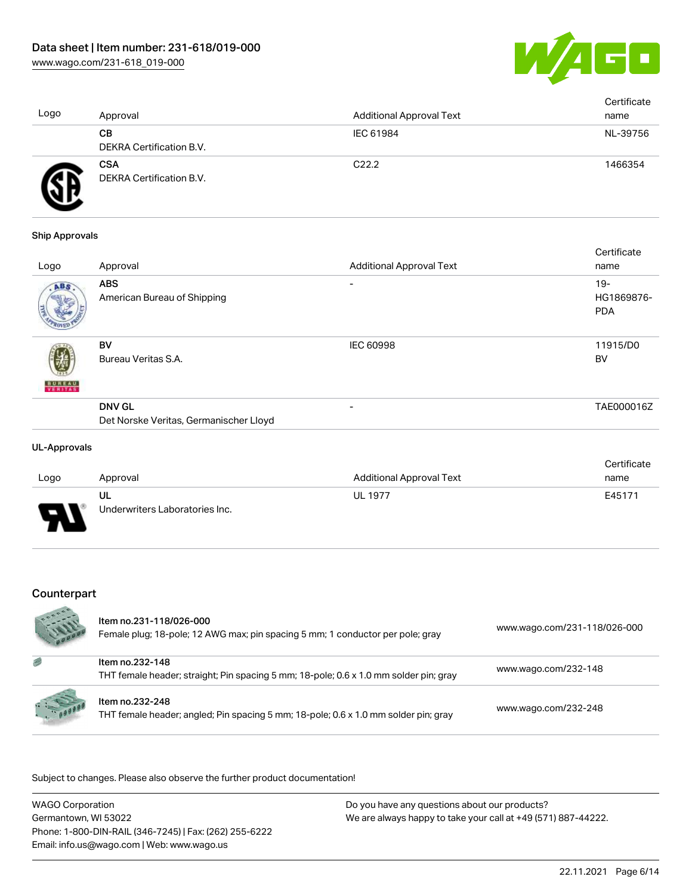

| Logo | Approval                               | <b>Additional Approval Text</b> | Certificate<br>name |
|------|----------------------------------------|---------------------------------|---------------------|
|      | CВ<br>DEKRA Certification B.V.         | IEC 61984                       | NL-39756            |
|      | <b>CSA</b><br>DEKRA Certification B.V. | C <sub>22.2</sub>               | 1466354             |

#### Ship Approvals

| Approval                                                | <b>Additional Approval Text</b> | Certificate<br>name                |
|---------------------------------------------------------|---------------------------------|------------------------------------|
| <b>ABS</b><br>American Bureau of Shipping               | $\overline{\phantom{0}}$        | $19 -$<br>HG1869876-<br><b>PDA</b> |
| BV<br>Bureau Veritas S.A.                               | <b>IEC 60998</b>                | 11915/D0<br><b>BV</b>              |
| <b>DNV GL</b><br>Det Norske Veritas, Germanischer Lloyd | -                               | TAE000016Z                         |
|                                                         |                                 |                                    |

#### UL-Approvals

|      |                                |                          | Certificate |
|------|--------------------------------|--------------------------|-------------|
| Logo | Approval                       | Additional Approval Text | name        |
|      | UL                             | <b>UL 1977</b>           | E45171      |
| J    | Underwriters Laboratories Inc. |                          |             |

## Counterpart

|          | Item no.231-118/026-000<br>Female plug; 18-pole; 12 AWG max; pin spacing 5 mm; 1 conductor per pole; gray | www.wago.com/231-118/026-000 |
|----------|-----------------------------------------------------------------------------------------------------------|------------------------------|
| 感        | Item no.232-148<br>THT female header; straight; Pin spacing 5 mm; 18-pole; 0.6 x 1.0 mm solder pin; gray  | www.wago.com/232-148         |
| 1.100000 | Item no.232-248<br>THT female header; angled; Pin spacing 5 mm; 18-pole; 0.6 x 1.0 mm solder pin; gray    | www.wago.com/232-248         |

.<br>Subject to changes. Please also observe the further product documentation!

| WAGO Corporation                                       | Do you have any questions about our products?                 |
|--------------------------------------------------------|---------------------------------------------------------------|
| Germantown, WI 53022                                   | We are always happy to take your call at +49 (571) 887-44222. |
| Phone: 1-800-DIN-RAIL (346-7245)   Fax: (262) 255-6222 |                                                               |
| Email: info.us@wago.com   Web: www.wago.us             |                                                               |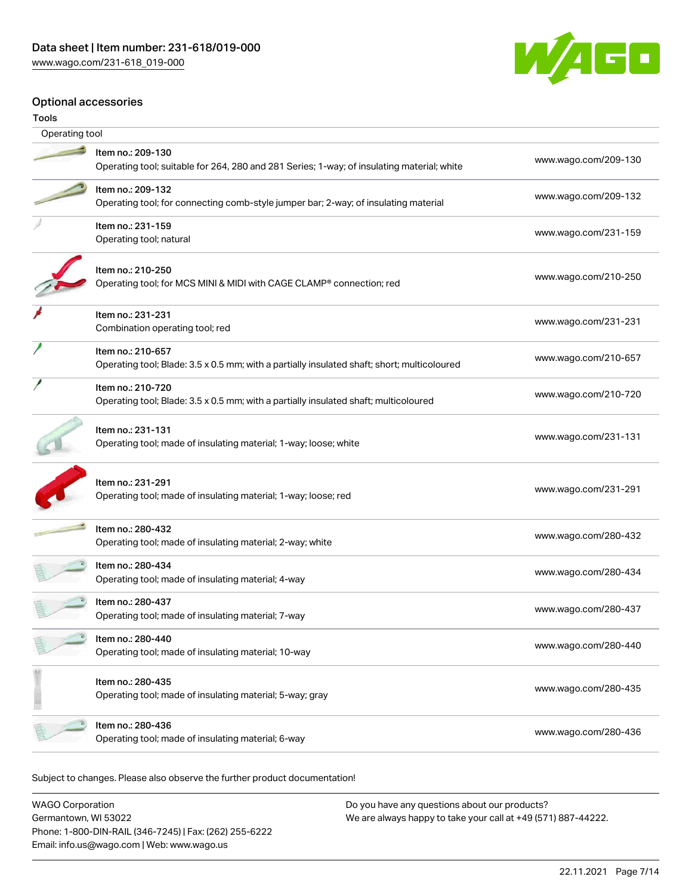

## Optional accessories

| Operating tool |                                                                                                                  |                      |
|----------------|------------------------------------------------------------------------------------------------------------------|----------------------|
|                |                                                                                                                  |                      |
|                | Item no.: 209-130<br>Operating tool; suitable for 264, 280 and 281 Series; 1-way; of insulating material; white  | www.wago.com/209-130 |
|                | Item no.: 209-132<br>Operating tool; for connecting comb-style jumper bar; 2-way; of insulating material         | www.wago.com/209-132 |
|                | Item no.: 231-159<br>Operating tool; natural                                                                     | www.wago.com/231-159 |
|                | Item no.: 210-250<br>Operating tool; for MCS MINI & MIDI with CAGE CLAMP® connection; red                        | www.wago.com/210-250 |
|                | Item no.: 231-231<br>Combination operating tool; red                                                             | www.wago.com/231-231 |
|                | Item no.: 210-657<br>Operating tool; Blade: 3.5 x 0.5 mm; with a partially insulated shaft; short; multicoloured | www.wago.com/210-657 |
|                | Item no.: 210-720<br>Operating tool; Blade: 3.5 x 0.5 mm; with a partially insulated shaft; multicoloured        | www.wago.com/210-720 |
|                | Item no.: 231-131<br>Operating tool; made of insulating material; 1-way; loose; white                            | www.wago.com/231-131 |
|                | Item no.: 231-291<br>Operating tool; made of insulating material; 1-way; loose; red                              | www.wago.com/231-291 |
|                | Item no.: 280-432<br>Operating tool; made of insulating material; 2-way; white                                   | www.wago.com/280-432 |
|                | Item no.: 280-434<br>Operating tool; made of insulating material; 4-way                                          | www.wago.com/280-434 |
|                | Item no.: 280-437<br>Operating tool; made of insulating material; 7-way                                          | www.wago.com/280-437 |
|                | Item no.: 280-440<br>Operating tool; made of insulating material; 10-way                                         | www.wago.com/280-440 |
|                | Item no.: 280-435<br>Operating tool; made of insulating material; 5-way; gray                                    | www.wago.com/280-435 |
|                | Item no.: 280-436<br>Operating tool; made of insulating material; 6-way                                          | www.wago.com/280-436 |
|                |                                                                                                                  |                      |

Subject to changes. Please also observe the further product documentation!

| <b>WAGO Corporation</b>                                | Do you have any questions about our products?                 |
|--------------------------------------------------------|---------------------------------------------------------------|
| Germantown, WI 53022                                   | We are always happy to take your call at +49 (571) 887-44222. |
| Phone: 1-800-DIN-RAIL (346-7245)   Fax: (262) 255-6222 |                                                               |
| Email: info.us@wago.com   Web: www.wago.us             |                                                               |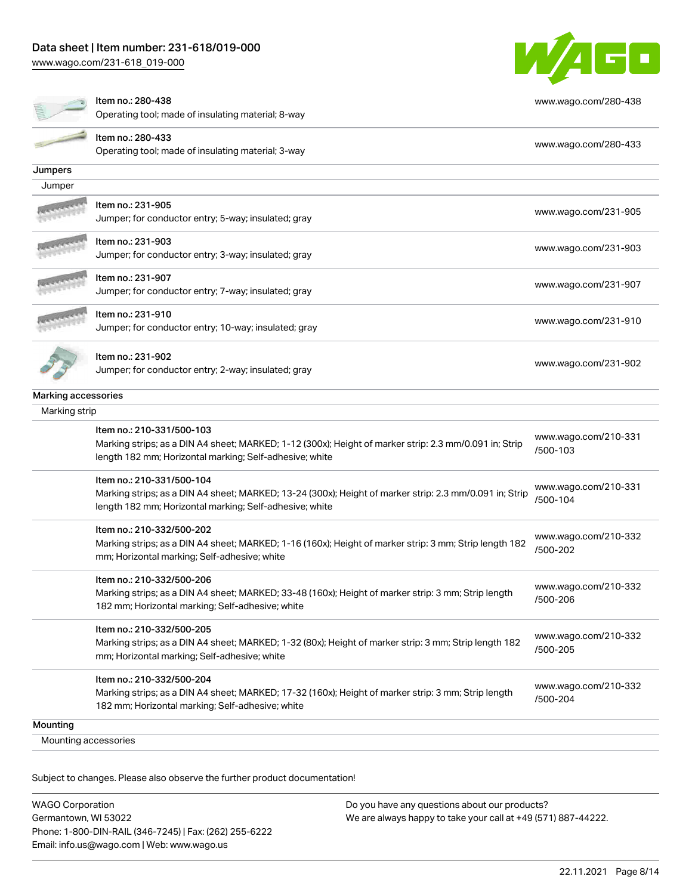[www.wago.com/231-618\\_019-000](http://www.wago.com/231-618_019-000)



|                      | Item no.: 280-438<br>Operating tool; made of insulating material; 8-way                                                                                                                         | www.wago.com/280-438             |
|----------------------|-------------------------------------------------------------------------------------------------------------------------------------------------------------------------------------------------|----------------------------------|
|                      | Item no.: 280-433<br>Operating tool; made of insulating material; 3-way                                                                                                                         | www.wago.com/280-433             |
| Jumpers              |                                                                                                                                                                                                 |                                  |
| Jumper               |                                                                                                                                                                                                 |                                  |
|                      | Item no.: 231-905<br>Jumper; for conductor entry; 5-way; insulated; gray                                                                                                                        | www.wago.com/231-905             |
|                      | Item no.: 231-903<br>Jumper; for conductor entry; 3-way; insulated; gray                                                                                                                        | www.wago.com/231-903             |
|                      | Item no.: 231-907<br>Jumper; for conductor entry; 7-way; insulated; gray                                                                                                                        | www.wago.com/231-907             |
|                      | ltem no.: 231-910<br>Jumper; for conductor entry; 10-way; insulated; gray                                                                                                                       | www.wago.com/231-910             |
|                      | Item no.: 231-902<br>Jumper; for conductor entry; 2-way; insulated; gray                                                                                                                        | www.wago.com/231-902             |
| Marking accessories  |                                                                                                                                                                                                 |                                  |
| Marking strip        |                                                                                                                                                                                                 |                                  |
|                      | Item no.: 210-331/500-103                                                                                                                                                                       |                                  |
|                      | Marking strips; as a DIN A4 sheet; MARKED; 1-12 (300x); Height of marker strip: 2.3 mm/0.091 in; Strip<br>length 182 mm; Horizontal marking; Self-adhesive; white                               | www.wago.com/210-331<br>/500-103 |
|                      | Item no.: 210-331/500-104<br>Marking strips; as a DIN A4 sheet; MARKED; 13-24 (300x); Height of marker strip: 2.3 mm/0.091 in; Strip<br>length 182 mm; Horizontal marking; Self-adhesive; white | www.wago.com/210-331<br>/500-104 |
|                      | Item no.: 210-332/500-202<br>Marking strips; as a DIN A4 sheet; MARKED; 1-16 (160x); Height of marker strip: 3 mm; Strip length 182<br>mm; Horizontal marking; Self-adhesive; white             | www.wago.com/210-332<br>/500-202 |
|                      | Item no.: 210-332/500-206<br>Marking strips; as a DIN A4 sheet; MARKED; 33-48 (160x); Height of marker strip: 3 mm; Strip length<br>182 mm; Horizontal marking; Self-adhesive; white            | www.wago.com/210-332<br>/500-206 |
|                      | Item no.: 210-332/500-205<br>Marking strips; as a DIN A4 sheet; MARKED; 1-32 (80x); Height of marker strip: 3 mm; Strip length 182<br>mm; Horizontal marking; Self-adhesive; white              | www.wago.com/210-332<br>/500-205 |
|                      | Item no.: 210-332/500-204<br>Marking strips; as a DIN A4 sheet; MARKED; 17-32 (160x); Height of marker strip: 3 mm; Strip length<br>182 mm; Horizontal marking; Self-adhesive; white            | www.wago.com/210-332<br>/500-204 |
| Mounting             |                                                                                                                                                                                                 |                                  |
| Mounting accessories |                                                                                                                                                                                                 |                                  |

Subject to changes. Please also observe the further product documentation!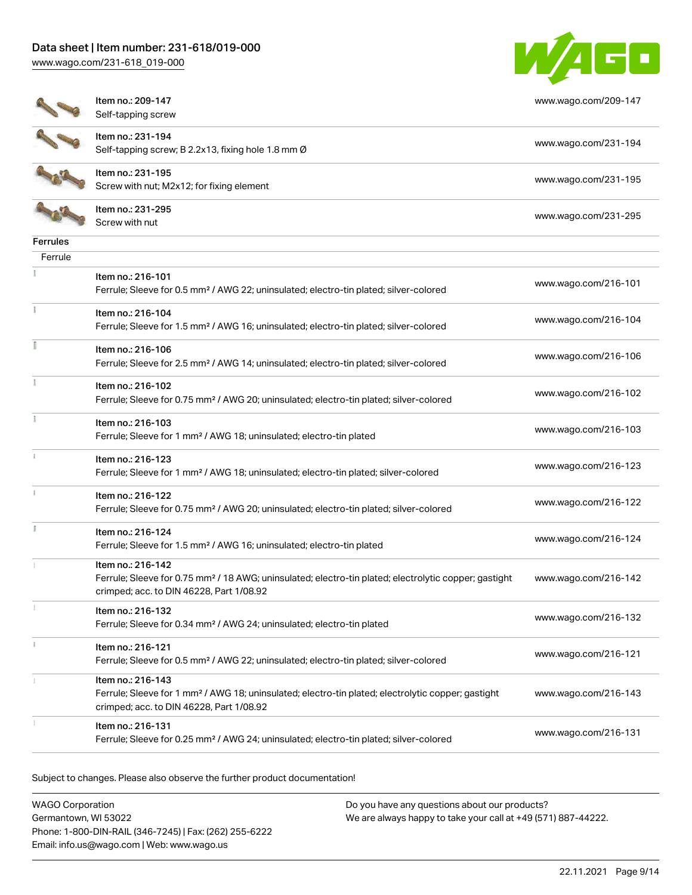[www.wago.com/231-618\\_019-000](http://www.wago.com/231-618_019-000)



[www.wago.com/209-147](http://www.wago.com/209-147)

Item no.: 209-147 Self-tapping screw

Item no.: 231-194



Self-tapping screw; B 2.2x13, fixing hole 1.8 mm Ø [www.wago.com/231-194](http://www.wago.com/231-194) Item no.: 231-195 Nettrition: 231-195<br>Screw with nut; M2x12; for fixing element [www.wago.com/231-195](http://www.wago.com/231-195)

Item no.: 231-295 Neth Holl 231-233<br>Screw with nut [www.wago.com/231-295](http://www.wago.com/231-295)

| errules |
|---------|
| .rrı    |

| Ferrule       |                                                                                                                                                                                    |                      |
|---------------|------------------------------------------------------------------------------------------------------------------------------------------------------------------------------------|----------------------|
|               | Item no.: 216-101<br>Ferrule; Sleeve for 0.5 mm <sup>2</sup> / AWG 22; uninsulated; electro-tin plated; silver-colored                                                             | www.wago.com/216-101 |
|               | Item no.: 216-104<br>Ferrule; Sleeve for 1.5 mm <sup>2</sup> / AWG 16; uninsulated; electro-tin plated; silver-colored                                                             | www.wago.com/216-104 |
|               | Item no.: 216-106<br>Ferrule; Sleeve for 2.5 mm <sup>2</sup> / AWG 14; uninsulated; electro-tin plated; silver-colored                                                             | www.wago.com/216-106 |
|               | Item no.: 216-102<br>Ferrule; Sleeve for 0.75 mm <sup>2</sup> / AWG 20; uninsulated; electro-tin plated; silver-colored                                                            | www.wago.com/216-102 |
|               | Item no.: 216-103<br>Ferrule; Sleeve for 1 mm <sup>2</sup> / AWG 18; uninsulated; electro-tin plated                                                                               | www.wago.com/216-103 |
|               | Item no.: 216-123<br>Ferrule; Sleeve for 1 mm <sup>2</sup> / AWG 18; uninsulated; electro-tin plated; silver-colored                                                               | www.wago.com/216-123 |
|               | Item no.: 216-122<br>Ferrule; Sleeve for 0.75 mm <sup>2</sup> / AWG 20; uninsulated; electro-tin plated; silver-colored                                                            | www.wago.com/216-122 |
| I.            | Item no.: 216-124<br>Ferrule; Sleeve for 1.5 mm <sup>2</sup> / AWG 16; uninsulated; electro-tin plated                                                                             | www.wago.com/216-124 |
|               | Item no.: 216-142<br>Ferrule; Sleeve for 0.75 mm <sup>2</sup> / 18 AWG; uninsulated; electro-tin plated; electrolytic copper; gastight<br>crimped; acc. to DIN 46228, Part 1/08.92 | www.wago.com/216-142 |
|               | Item no.: 216-132<br>Ferrule; Sleeve for 0.34 mm <sup>2</sup> / AWG 24; uninsulated; electro-tin plated                                                                            | www.wago.com/216-132 |
| $\frac{1}{2}$ | Item no.: 216-121<br>Ferrule; Sleeve for 0.5 mm <sup>2</sup> / AWG 22; uninsulated; electro-tin plated; silver-colored                                                             | www.wago.com/216-121 |
|               | Item no.: 216-143<br>Ferrule; Sleeve for 1 mm <sup>2</sup> / AWG 18; uninsulated; electro-tin plated; electrolytic copper; gastight<br>crimped; acc. to DIN 46228, Part 1/08.92    | www.wago.com/216-143 |
|               | Item no.: 216-131<br>Ferrule; Sleeve for 0.25 mm <sup>2</sup> / AWG 24; uninsulated; electro-tin plated; silver-colored                                                            | www.wago.com/216-131 |
|               |                                                                                                                                                                                    |                      |

Subject to changes. Please also observe the further product documentation!

WAGO Corporation Germantown, WI 53022 Phone: 1-800-DIN-RAIL (346-7245) | Fax: (262) 255-6222 Email: info.us@wago.com | Web: www.wago.us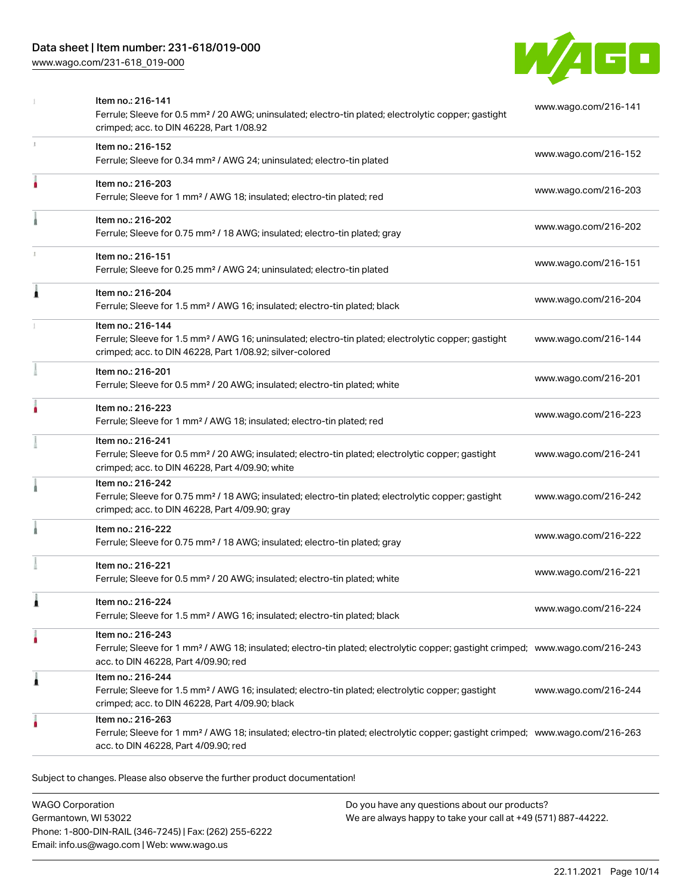## Data sheet | Item number: 231-618/019-000

[www.wago.com/231-618\\_019-000](http://www.wago.com/231-618_019-000)



|   | Item no.: 216-141<br>Ferrule; Sleeve for 0.5 mm <sup>2</sup> / 20 AWG; uninsulated; electro-tin plated; electrolytic copper; gastight<br>crimped; acc. to DIN 46228, Part 1/08.92                       | www.wago.com/216-141 |
|---|---------------------------------------------------------------------------------------------------------------------------------------------------------------------------------------------------------|----------------------|
| x | Item no.: 216-152<br>Ferrule; Sleeve for 0.34 mm <sup>2</sup> / AWG 24; uninsulated; electro-tin plated                                                                                                 | www.wago.com/216-152 |
|   | Item no.: 216-203<br>Ferrule; Sleeve for 1 mm <sup>2</sup> / AWG 18; insulated; electro-tin plated; red                                                                                                 | www.wago.com/216-203 |
|   | Item no.: 216-202<br>Ferrule; Sleeve for 0.75 mm <sup>2</sup> / 18 AWG; insulated; electro-tin plated; gray                                                                                             | www.wago.com/216-202 |
|   | Item no.: 216-151<br>Ferrule; Sleeve for 0.25 mm <sup>2</sup> / AWG 24; uninsulated; electro-tin plated                                                                                                 | www.wago.com/216-151 |
| ı | Item no.: 216-204<br>Ferrule; Sleeve for 1.5 mm <sup>2</sup> / AWG 16; insulated; electro-tin plated; black                                                                                             | www.wago.com/216-204 |
|   | Item no.: 216-144<br>Ferrule; Sleeve for 1.5 mm <sup>2</sup> / AWG 16; uninsulated; electro-tin plated; electrolytic copper; gastight<br>crimped; acc. to DIN 46228, Part 1/08.92; silver-colored       | www.wago.com/216-144 |
|   | Item no.: 216-201<br>Ferrule; Sleeve for 0.5 mm <sup>2</sup> / 20 AWG; insulated; electro-tin plated; white                                                                                             | www.wago.com/216-201 |
|   | Item no.: 216-223<br>Ferrule; Sleeve for 1 mm <sup>2</sup> / AWG 18; insulated; electro-tin plated; red                                                                                                 | www.wago.com/216-223 |
|   | Item no.: 216-241<br>Ferrule; Sleeve for 0.5 mm <sup>2</sup> / 20 AWG; insulated; electro-tin plated; electrolytic copper; gastight<br>crimped; acc. to DIN 46228, Part 4/09.90; white                  | www.wago.com/216-241 |
|   | Item no.: 216-242<br>Ferrule; Sleeve for 0.75 mm <sup>2</sup> / 18 AWG; insulated; electro-tin plated; electrolytic copper; gastight<br>crimped; acc. to DIN 46228, Part 4/09.90; gray                  | www.wago.com/216-242 |
|   | Item no.: 216-222<br>Ferrule; Sleeve for 0.75 mm <sup>2</sup> / 18 AWG; insulated; electro-tin plated; gray                                                                                             | www.wago.com/216-222 |
|   | Item no.: 216-221<br>Ferrule; Sleeve for 0.5 mm <sup>2</sup> / 20 AWG; insulated; electro-tin plated; white                                                                                             | www.wago.com/216-221 |
|   | Item no.: 216-224<br>Ferrule; Sleeve for 1.5 mm <sup>2</sup> / AWG 16; insulated; electro-tin plated; black                                                                                             | www.wago.com/216-224 |
|   | Item no.: 216-243<br>Ferrule; Sleeve for 1 mm <sup>2</sup> / AWG 18; insulated; electro-tin plated; electrolytic copper; gastight crimped; www.wago.com/216-243<br>acc. to DIN 46228, Part 4/09.90; red |                      |
| 1 | Item no.: 216-244<br>Ferrule; Sleeve for 1.5 mm <sup>2</sup> / AWG 16; insulated; electro-tin plated; electrolytic copper; gastight<br>crimped; acc. to DIN 46228, Part 4/09.90; black                  | www.wago.com/216-244 |
|   | Item no.: 216-263<br>Ferrule; Sleeve for 1 mm <sup>2</sup> / AWG 18; insulated; electro-tin plated; electrolytic copper; gastight crimped; www.wago.com/216-263<br>acc. to DIN 46228, Part 4/09.90; red |                      |

Subject to changes. Please also observe the further product documentation!

WAGO Corporation Germantown, WI 53022 Phone: 1-800-DIN-RAIL (346-7245) | Fax: (262) 255-6222 Email: info.us@wago.com | Web: www.wago.us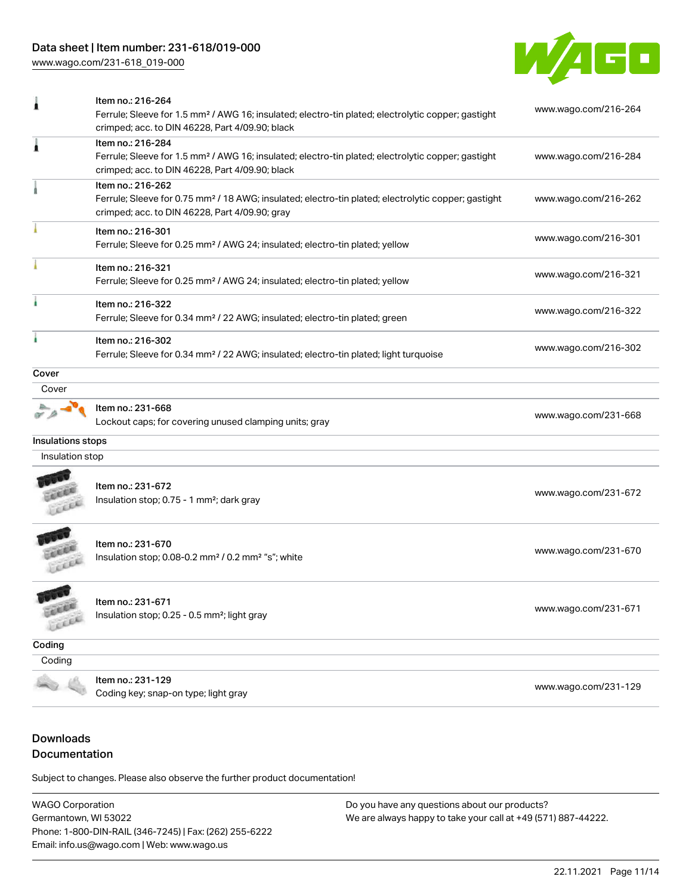# Data sheet | Item number: 231-618/019-000

[www.wago.com/231-618\\_019-000](http://www.wago.com/231-618_019-000)



|                     | Item no.: 216-264<br>Ferrule; Sleeve for 1.5 mm <sup>2</sup> / AWG 16; insulated; electro-tin plated; electrolytic copper; gastight<br>crimped; acc. to DIN 46228, Part 4/09.90; black | www.wago.com/216-264 |  |
|---------------------|----------------------------------------------------------------------------------------------------------------------------------------------------------------------------------------|----------------------|--|
| ٨                   | Item no.: 216-284<br>Ferrule; Sleeve for 1.5 mm <sup>2</sup> / AWG 16; insulated; electro-tin plated; electrolytic copper; gastight<br>crimped; acc. to DIN 46228, Part 4/09.90; black | www.wago.com/216-284 |  |
|                     | Item no.: 216-262<br>Ferrule; Sleeve for 0.75 mm <sup>2</sup> / 18 AWG; insulated; electro-tin plated; electrolytic copper; gastight<br>crimped; acc. to DIN 46228, Part 4/09.90; gray | www.wago.com/216-262 |  |
|                     | Item no.: 216-301<br>Ferrule; Sleeve for 0.25 mm <sup>2</sup> / AWG 24; insulated; electro-tin plated; yellow                                                                          | www.wago.com/216-301 |  |
|                     | Item no.: 216-321<br>Ferrule; Sleeve for 0.25 mm <sup>2</sup> / AWG 24; insulated; electro-tin plated; yellow                                                                          | www.wago.com/216-321 |  |
|                     | Item no.: 216-322<br>Ferrule; Sleeve for 0.34 mm <sup>2</sup> / 22 AWG; insulated; electro-tin plated; green                                                                           | www.wago.com/216-322 |  |
|                     | Item no.: 216-302<br>Ferrule; Sleeve for 0.34 mm <sup>2</sup> / 22 AWG; insulated; electro-tin plated; light turquoise                                                                 | www.wago.com/216-302 |  |
| Cover               |                                                                                                                                                                                        |                      |  |
| Cover               |                                                                                                                                                                                        |                      |  |
|                     | Item no.: 231-668<br>Lockout caps; for covering unused clamping units; gray                                                                                                            | www.wago.com/231-668 |  |
| Insulations stops   |                                                                                                                                                                                        |                      |  |
| Insulation stop     |                                                                                                                                                                                        |                      |  |
|                     | Item no.: 231-672<br>Insulation stop; 0.75 - 1 mm <sup>2</sup> ; dark gray                                                                                                             | www.wago.com/231-672 |  |
|                     | Item no.: 231-670<br>Insulation stop; 0.08-0.2 mm <sup>2</sup> / 0.2 mm <sup>2</sup> "s"; white                                                                                        | www.wago.com/231-670 |  |
| <b>CARD</b><br>LLEE | Item no.: 231-671<br>Insulation stop; 0.25 - 0.5 mm <sup>2</sup> ; light gray                                                                                                          | www.wago.com/231-671 |  |
| Coding              |                                                                                                                                                                                        |                      |  |
| Coding              |                                                                                                                                                                                        |                      |  |
|                     | Item no.: 231-129<br>Coding key; snap-on type; light gray                                                                                                                              | www.wago.com/231-129 |  |

# Downloads Documentation

Subject to changes. Please also observe the further product documentation!

WAGO Corporation Germantown, WI 53022 Phone: 1-800-DIN-RAIL (346-7245) | Fax: (262) 255-6222 Email: info.us@wago.com | Web: www.wago.us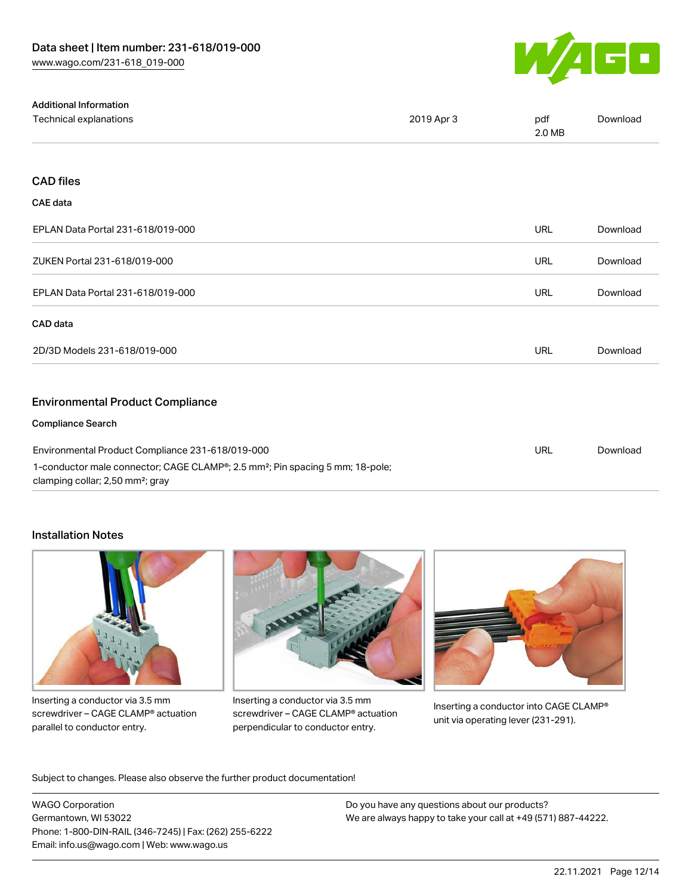

| <b>Additional Information</b>                                                                                                             |            |               |          |
|-------------------------------------------------------------------------------------------------------------------------------------------|------------|---------------|----------|
| Technical explanations                                                                                                                    | 2019 Apr 3 | pdf<br>2.0 MB | Download |
|                                                                                                                                           |            |               |          |
| <b>CAD files</b>                                                                                                                          |            |               |          |
| <b>CAE</b> data                                                                                                                           |            |               |          |
| EPLAN Data Portal 231-618/019-000                                                                                                         |            | <b>URL</b>    | Download |
| ZUKEN Portal 231-618/019-000                                                                                                              |            | <b>URL</b>    | Download |
| EPLAN Data Portal 231-618/019-000                                                                                                         |            | <b>URL</b>    | Download |
| CAD data                                                                                                                                  |            |               |          |
| 2D/3D Models 231-618/019-000                                                                                                              |            | <b>URL</b>    | Download |
| <b>Environmental Product Compliance</b>                                                                                                   |            |               |          |
| <b>Compliance Search</b>                                                                                                                  |            |               |          |
| Environmental Product Compliance 231-618/019-000                                                                                          |            | <b>URL</b>    | Download |
| 1-conductor male connector; CAGE CLAMP®; 2.5 mm <sup>2</sup> ; Pin spacing 5 mm; 18-pole;<br>clamping collar; 2,50 mm <sup>2</sup> ; gray |            |               |          |

## Installation Notes



Inserting a conductor via 3.5 mm screwdriver – CAGE CLAMP® actuation parallel to conductor entry.



Inserting a conductor via 3.5 mm screwdriver – CAGE CLAMP® actuation perpendicular to conductor entry.



Inserting a conductor into CAGE CLAMP® unit via operating lever (231-291).

Subject to changes. Please also observe the further product documentation!

WAGO Corporation Germantown, WI 53022 Phone: 1-800-DIN-RAIL (346-7245) | Fax: (262) 255-6222 Email: info.us@wago.com | Web: www.wago.us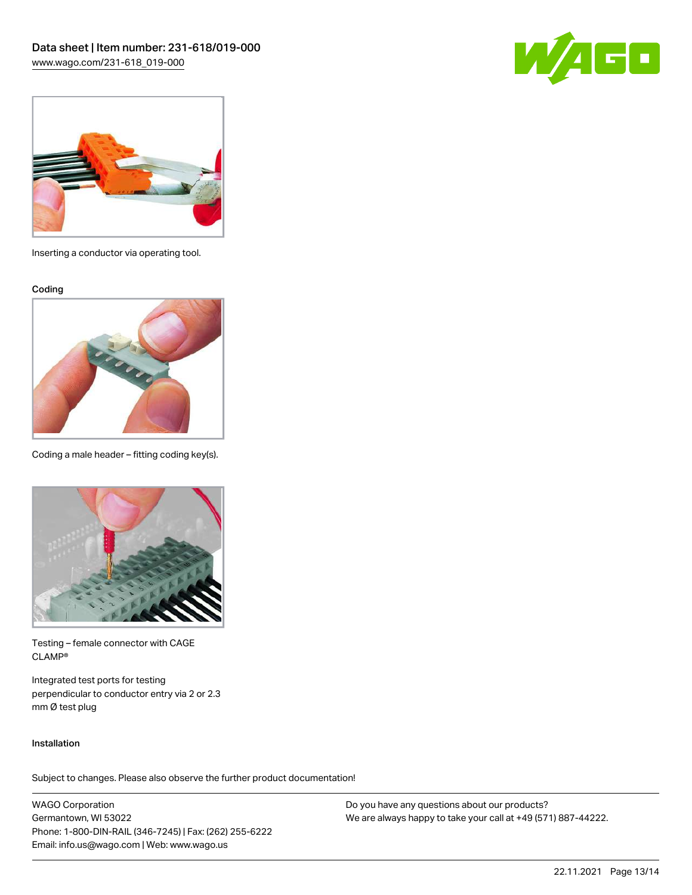



Inserting a conductor via operating tool.

Coding



Coding a male header – fitting coding key(s).



Testing – female connector with CAGE CLAMP®

Integrated test ports for testing perpendicular to conductor entry via 2 or 2.3 mm Ø test plug

#### Installation

Subject to changes. Please also observe the further product documentation!

WAGO Corporation Germantown, WI 53022 Phone: 1-800-DIN-RAIL (346-7245) | Fax: (262) 255-6222 Email: info.us@wago.com | Web: www.wago.us